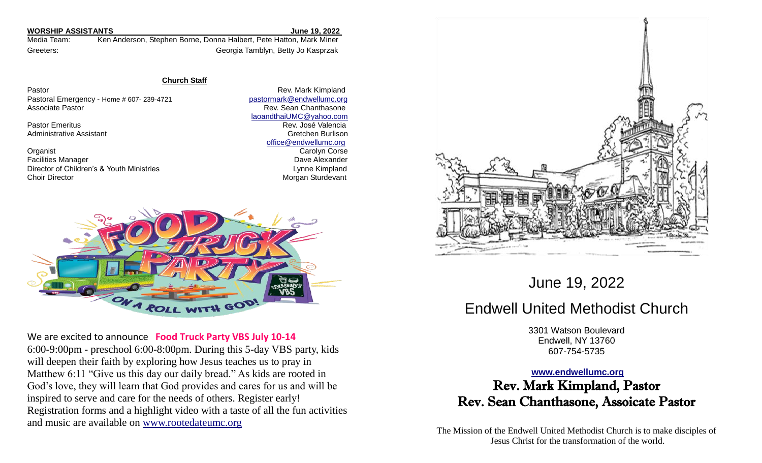### **WORSHIP ASSISTANTS June 19, 2022**

Media Team: Ken Anderson, Stephen Borne, Donna Halbert, Pete Hatton, Mark Miner Greeters: Georgia Tamblyn, Betty Jo Kasprzak

### **Church Staff**

Pastor **Pastor** Rev. Mark Kimpland Pastoral Emergency - Home # 607- 239-4721 [pastormark@endwellumc.org](mailto:pastormark@endwellumc.org) Associate Pastor **Rev. Sean Chanthasone Rev. Sean Chanthasone** 

**Organist** Carolyn Corse Carolyn Corse Carolyn Corse Carolyn Corse Carolyn Corse Carolyn Corse Carolyn Corse Carolyn Corse Carolyn Corse Carolyn Corse Carolyn Corse Carolyn Corse Carolyn Corse Carolyn Corse Carolyn Corse C Facilities Manager **Dave Alexander Dave Alexander Dave Alexander** Director of Children's & Youth Ministries **Lynne Kimpland** Lynne Kimpland Choir Director **Morgan Sturdevant** Choir Director Morgan Sturdevant

 [laoandthaiUMC@yahoo.com](mailto:laoandthaiUMC@yahoo.com) **Pastor Emeritus Rev. José Valencia** Administrative Assistant Gretchen Burlison [office@endwellumc.org](mailto:office@endwellumc.org)



We are excited to announce **Food Truck Party VBS July 10-14** 6:00-9:00pm - preschool 6:00-8:00pm. During this 5-day VBS party, kids will deepen their faith by exploring how Jesus teaches us to pray in Matthew 6:11 "Give us this day our daily bread." As kids are rooted in God's love, they will learn that God provides and cares for us and will be inspired to serve and care for the needs of others. Register early! Registration forms and a highlight video with a taste of all the fun activities and music are available on [www.rootedateumc.org](http://www.rootedateumc.org/)



June 19, 2022

# Endwell United Methodist Church

3301 Watson Boulevard Endwell, NY 13760 607-754-5735

## **[www.endwellumc.org](http://www.endwellumc.org/)**

Rev. Mark Kimpland, Pastor Rev. Sean Chanthasone, Assoicate Pastor

The Mission of the Endwell United Methodist Church is to make disciples of Jesus Christ for the transformation of the world.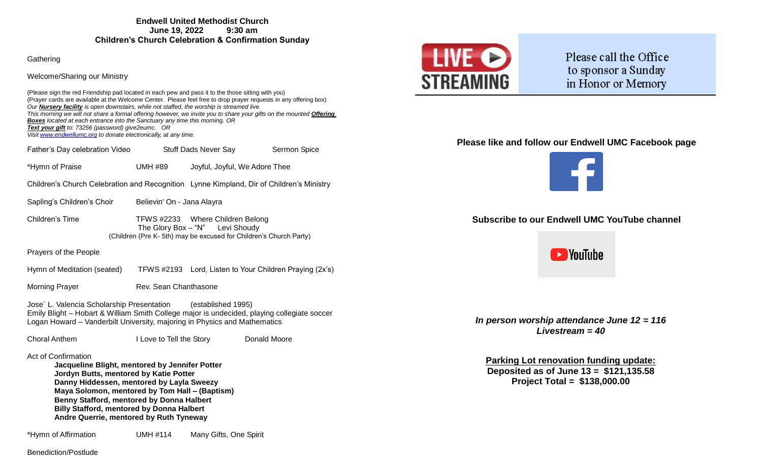**Gathering** 

Welcome/Sharing our Ministry

(Please sign the red Friendship pad located in each pew and pass it to the those sitting with you) (Prayer cards are available at the Welcome Center. Please feel free to drop prayer requests in any offering box) *Our Nursery facility is open downstairs, while not staffed, the worship is streamed live. This morning we will not share a formal offering however, we invite you to share your gifts on the mounted Offering Boxes located at each entrance into the Sanctuary any time this morning. OR Text your gift to: 73256 (password) give2eumc. OR Visi[t www.endwellumc.org](http://www.endwellumc.org/) to donate electronically, at any time.*

Father's Day celebration Video Stuff Dads Never Say Sermon Spice

\*Hymn of Praise UMH #89 Joyful, Joyful, We Adore Thee

Children's Church Celebration and Recognition Lynne Kimpland, Dir of Children's Ministry

- Sapling's Children's Choir Believin' On Jana Alayra
- Children's Time TFWS #2233 Where Children Belong The Glory Box – "N" Levi Shoudy (Children (Pre K- 5th) may be excused for Children's Church Party)

Prayers of the People

Hymn of Meditation (seated) TFWS #2193 Lord, Listen to Your Children Praying (2x's)

Morning Prayer **Rev.** Sean Chanthasone

Jose` L. Valencia Scholarship Presentation (established 1995) Emily Blight – Hobart & William Smith College major is undecided, playing collegiate soccer Logan Howard – Vanderbilt University, majoring in Physics and Mathematics

Choral Anthem I Love to Tell the Story Donald Moore

Act of Confirmation

**Jacqueline Blight, mentored by Jennifer Potter Jordyn Butts, mentored by Katie Potter Danny Hiddessen, mentored by Layla Sweezy Maya Solomon, mentored by Tom Hall – (Baptism) Benny Stafford, mentored by Donna Halbert Billy Stafford, mentored by Donna Halbert Andre Querrie, mentored by Ruth Tyneway**

\*Hymn of Affirmation UMH #114 Many Gifts, One Spirit



Please call the Office to sponsor a Sunday in Honor or Memory

# **Please like and follow our Endwell UMC Facebook page**



# **Subscribe to our Endwell UMC YouTube channel**



*In person worship attendance June 12 = 116 Livestream = 40*

**Parking Lot renovation funding update: Deposited as of June 13 = \$121,135.58 Project Total = \$138,000.00**

Benediction/Postlude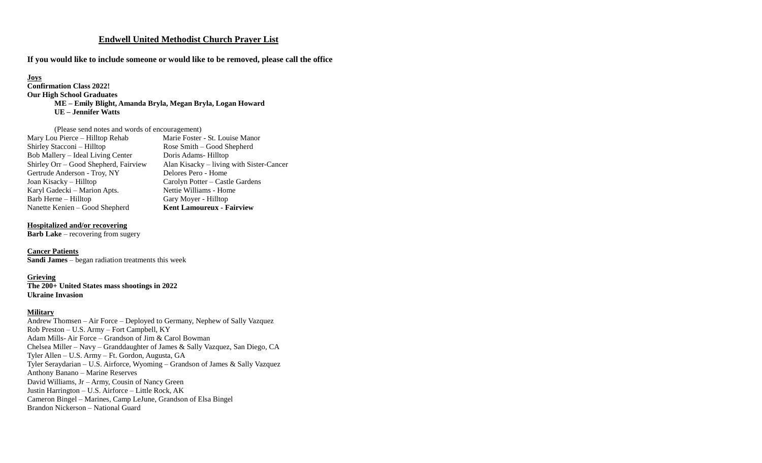# **Endwell United Methodist Church Prayer List**

**If you would like to include someone or would like to be removed, please call the office**

# **Joys**

**Confirmation Class 2022! Our High School Graduates ME – Emily Blight, Amanda Bryla, Megan Bryla, Logan Howard UE – Jennifer Watts**

## (Please send notes and words of encouragement)

| Marie Foster - St. Louise Manor<br>Mary Lou Pierce - Hilltop Rehab                |  |
|-----------------------------------------------------------------------------------|--|
| Shirley Stacconi - Hilltop<br>Rose Smith - Good Shepherd                          |  |
| Bob Mallery – Ideal Living Center<br>Doris Adams-Hilltop                          |  |
| Shirley Orr - Good Shepherd, Fairview<br>Alan Kisacky – living with Sister-Cancer |  |
| Gertrude Anderson - Troy, NY<br>Delores Pero - Home                               |  |
| Joan Kisacky – Hilltop<br>Carolyn Potter – Castle Gardens                         |  |
| Karyl Gadecki – Marion Apts.<br>Nettie Williams - Home                            |  |
| Barb Herne – Hilltop<br>Gary Moyer - Hilltop                                      |  |
| <b>Kent Lamoureux - Fairview</b><br>Nanette Kenien – Good Shepherd                |  |

#### **Hospitalized and/or recovering**

**Barb Lake** – recovering from sugery

## **Cancer Patients**

**Sandi James** – began radiation treatments this week

## **Grieving**

**The 200+ United States mass shootings in 2022 Ukraine Invasion**

#### **Military**

Andrew Thomsen – Air Force – Deployed to Germany, Nephew of Sally Vazquez Rob Preston – U.S. Army – Fort Campbell, KY Adam Mills- Air Force – Grandson of Jim & Carol Bowman Chelsea Miller – Navy – Granddaughter of James & Sally Vazquez, San Diego, CA Tyler Allen – U.S. Army – Ft. Gordon, Augusta, GA Tyler Seraydarian – U.S. Airforce, Wyoming – Grandson of James & Sally Vazquez Anthony Banano – Marine Reserves David Williams, Jr – Army, Cousin of Nancy Green Justin Harrington – U.S. Airforce – Little Rock, AK Cameron Bingel – Marines, Camp LeJune, Grandson of Elsa Bingel Brandon Nickerson – National Guard